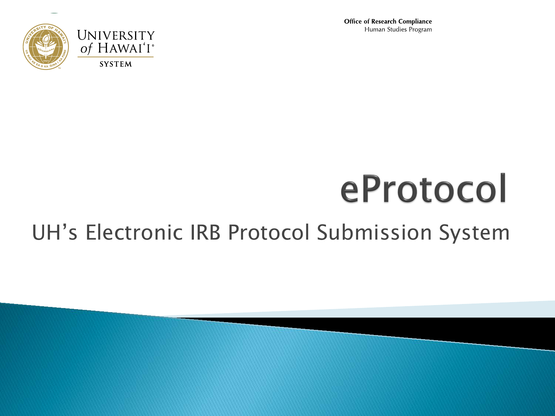**Office of Research Compliance** Human Studies Program



# eProtocol

### UH's Electronic IRB Protocol Submission System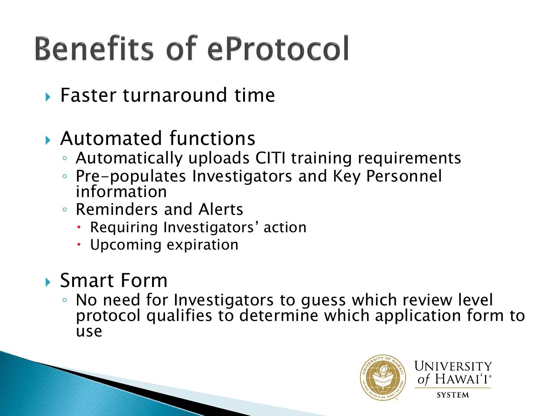## **Benefits of eProtocol**

- Faster turnaround time
- Automated functions
	- Automatically uploads CITI training requirements
	- Pre-populates Investigators and Key Personnel information
	- Reminders and Alerts
		- Requiring Investigators' action
		- Upcoming expiration

#### ▶ Smart Form

◦ No need for Investigators to guess which review level protocol qualifies to determine which application form to use

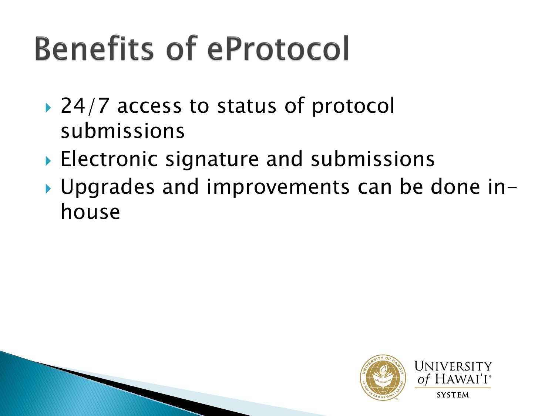## **Benefits of eProtocol**

- $\rightarrow$  24/7 access to status of protocol submissions
- ▶ Electronic signature and submissions
- ▶ Upgrades and improvements can be done inhouse



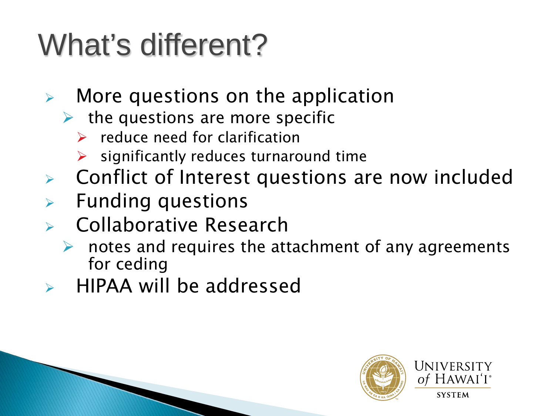## What's different?

- $\triangleright$  More questions on the application
	- $\triangleright$  the questions are more specific
		- $\triangleright$  reduce need for clarification
		- significantly reduces turnaround time
- Conflict of Interest questions are now included
- $\triangleright$  Funding questions
- Collaborative Research
	- $\triangleright$  notes and requires the attachment of any agreements for ceding
- $\triangleright$  HIPAA will be addressed

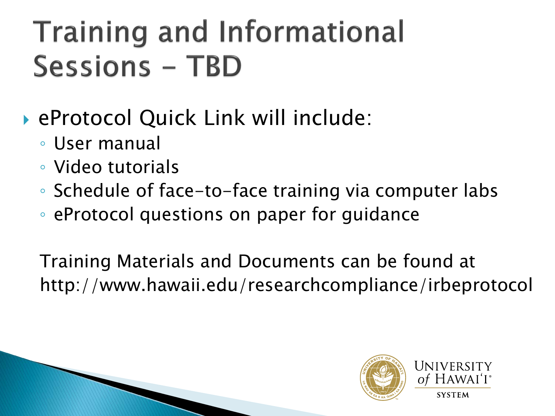### **Training and Informational Sessions - TBD**

- eProtocol Quick Link will include:
	- User manual
	- Video tutorials
	- Schedule of face-to-face training via computer labs
	- eProtocol questions on paper for guidance

Training Materials and Documents can be found at http://www.hawaii.edu/researchcompliance/irbeprotocol

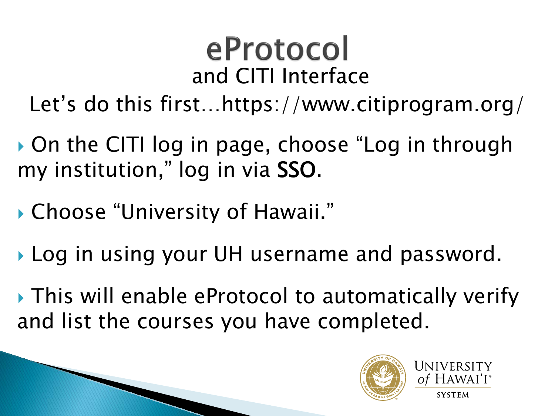### eProtocol and CITI Interface

Let's do this first…https://www.citiprogram.org/

▶ On the CITI log in page, choose "Log in through my institution," log in via SSO.

- Choose "University of Hawaii."
- **Log in using your UH username and password.**
- ▶ This will enable eProtocol to automatically verify and list the courses you have completed.

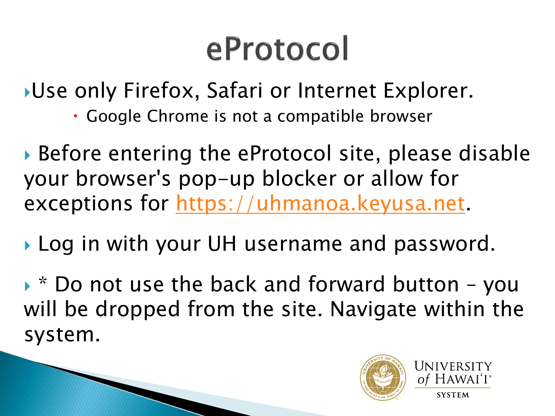## eProtocol

Use only Firefox, Safari or Internet Explorer.

- Google Chrome is not a compatible browser
- Before entering the eProtocol site, please disable your browser's pop-up blocker or allow for exceptions for [https://uhmanoa.keyusa.net](https://uhmanoa.keyusa.net/).
- ▶ Log in with your UH username and password.

 $\triangleright$   $*$  Do not use the back and forward button – you will be dropped from the site. Navigate within the system.

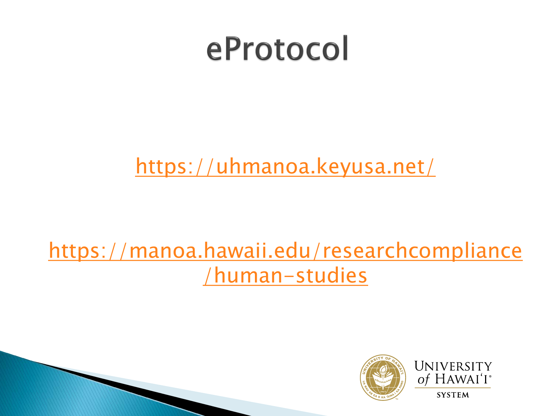## eProtocol

<https://uhmanoa.keyusa.net/>

### [https://manoa.hawaii.edu/researchcompliance](https://manoa.hawaii.edu/researchcompliance/human-studies) /human-studies